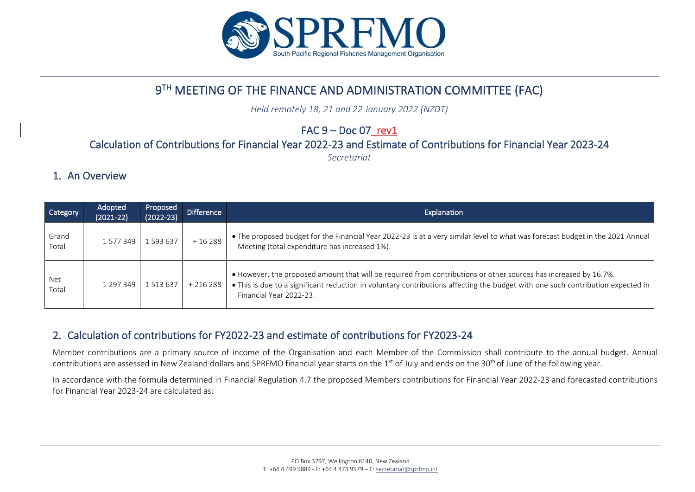

# 9 TH MEETING OF THE FINANCE AND ADMINISTRATION COMMITTEE (FAC)

*Held remotely 18, 21 and 22 January 2022 (NZDT)*

# $FAC 9 - Doc 07 rev1$

### Calculation of Contributions for Financial Year 2022-23 and Estimate of Contributions for Financial Year 2023-24

*Secretariat*

## 1. An Overview

| Category       | Adopted<br>$(2021 - 22)$ | <b>Proposed</b><br>$(2022 - 23)$ | <b>Difference</b> | Explanation                                                                                                                                                                                                                                                                    |  |  |  |
|----------------|--------------------------|----------------------------------|-------------------|--------------------------------------------------------------------------------------------------------------------------------------------------------------------------------------------------------------------------------------------------------------------------------|--|--|--|
| Grand<br>Total | 1577349                  | 1 593 637                        | $+16288$          | • The proposed budget for the Financial Year 2022-23 is at a very similar level to what was forecast budget in the 2021 Annual<br>Meeting (total expenditure has increased 1%).                                                                                                |  |  |  |
| Net<br>Total   | 1 2 9 7 3 4 9            | 1513637                          | $+216288$         | • However, the proposed amount that will be required from contributions or other sources has increased by 16.7%.<br>• This is due to a significant reduction in voluntary contributions affecting the budget with one such contribution expected in<br>Financial Year 2022-23. |  |  |  |

## 2. Calculation of contributions for FY2022-23 and estimate of contributions for FY2023-24

Member contributions are a primary source of income of the Organisation and each Member of the Commission shall contribute to the annual budget. Annual contributions are assessed in New Zealand dollars and SPRFMO financial year starts on the 1<sup>st</sup> of July and ends on the 30<sup>th</sup> of June of the following year.

In accordance with the formula determined in Financial Regulation 4.7 the proposed Members contributions for Financial Year 2022-23 and forecasted contributions for Financial Year 2023-24 are calculated as: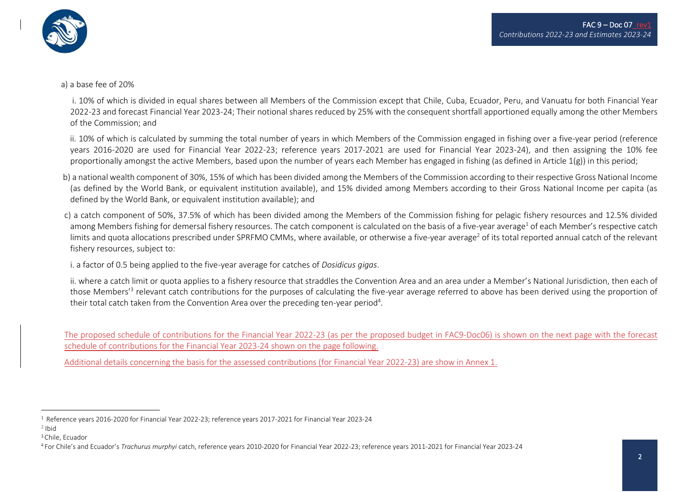



#### a) a base fee of 20%

 i. 10% of which is divided in equal shares between all Members of the Commission except that Chile, Cuba, Ecuador, Peru, and Vanuatu for both Financial Year 2022-23 and forecast Financial Year 2023-24; Their notional shares reduced by 25% with the consequent shortfall apportioned equally among the other Members of the Commission; and

 ii. 10% of which is calculated by summing the total number of years in which Members of the Commission engaged in fishing over a five-year period (reference years 2016-2020 are used for Financial Year 2022-23; reference years 2017-2021 are used for Financial Year 2023-24), and then assigning the 10% fee proportionally amongst the active Members, based upon the number of years each Member has engaged in fishing (as defined in Article  $1(g)$ ) in this period;

- b) a national wealth component of 30%, 15% of which has been divided among the Members of the Commission according to their respective Gross National Income (as defined by the World Bank, or equivalent institution available), and 15% divided among Members according to their Gross National Income per capita (as defined by the World Bank, or equivalent institution available); and
- c) a catch component of 50%, 37.5% of which has been divided among the Members of the Commission fishing for pelagic fishery resources and 12.5% divided among Members fishing for demersal fishery resources. The catch component is calculated on the basis of a five-year average<sup>1</sup> of each Member's respective catch limits and quota allocations prescribed under SPRFMO CMMs, where available, or otherwise a five-year average<sup>2</sup> of its total reported annual catch of the relevant fishery resources, subject to:

i. a factor of 0.5 being applied to the five-year average for catches of *Dosidicus gigas*.

ii. where a catch limit or quota applies to a fishery resource that straddles the Convention Area and an area under a Member's National Jurisdiction, then each of those Members'<sup>3</sup> relevant catch contributions for the purposes of calculating the five-year average referred to above has been derived using the proportion of their total catch taken from the Convention Area over the preceding ten-year period<sup>4</sup>.

The proposed schedule of contributions for the Financial Year 2022-23 (as per the proposed budget in FAC9-Doc06) is shown on the next page with the forecast schedule of contributions for the Financial Year 2023-24 shown on the page following.

Additional details concerning the basis for the assessed contributions (for Financial Year 2022-23) are show in Annex 1.

<sup>1</sup> Reference years 2016-2020 for Financial Year 2022-23; reference years 2017-2021 for Financial Year 2023-24

<sup>2</sup> Ibid

<sup>3</sup> Chile, Ecuador

<sup>4</sup> For Chile's and Ecuador's *Trachurus murphyi* catch, reference years 2010-2020 for Financial Year 2022-23; reference years 2011-2021 for Financial Year 2023-24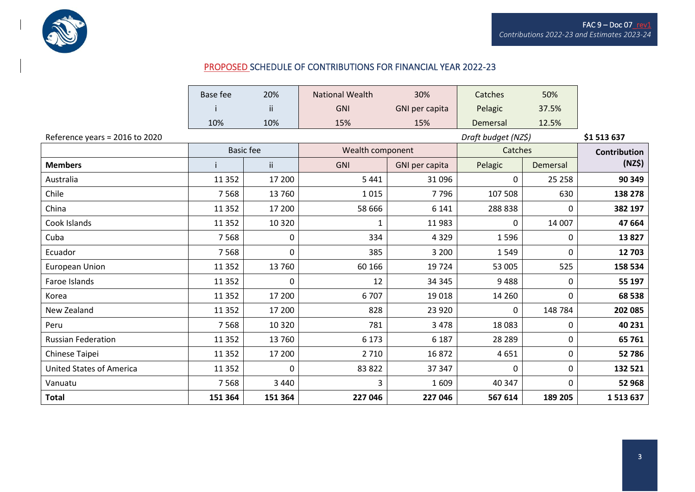

### PROPOSED SCHEDULE OF CONTRIBUTIONS FOR FINANCIAL YEAR 2022-23

|                                 | Base fee         | 20%     | <b>National Wealth</b> | 30%            | Catches             | 50%      |                     |  |
|---------------------------------|------------------|---------|------------------------|----------------|---------------------|----------|---------------------|--|
|                                 |                  | ii.     | <b>GNI</b>             | GNI per capita | Pelagic             | 37.5%    |                     |  |
|                                 | 10%              | 10%     | 15%                    | 15%            | Demersal            | 12.5%    |                     |  |
| Reference years = 2016 to 2020  |                  |         |                        |                | Draft budget (NZ\$) |          | \$1513637           |  |
|                                 | <b>Basic fee</b> |         | Wealth component       |                | Catches             |          | <b>Contribution</b> |  |
| <b>Members</b>                  |                  | ii.     | <b>GNI</b>             | GNI per capita | Pelagic             | Demersal | (NZ\$)              |  |
| Australia                       | 11 3 5 2         | 17 200  | 5 4 4 1                | 31 096         | 0                   | 25 2 58  | 90 349              |  |
| Chile                           | 7 5 6 8          | 13 760  | 1015                   | 7796           | 107 508             | 630      | 138 278             |  |
| China                           | 11 3 5 2         | 17 200  | 58 666                 | 6 1 4 1        | 288 838             | 0        | 382 197             |  |
| Cook Islands                    | 11 3 52          | 10 3 20 | 1                      | 11983          | $\mathbf{0}$        | 14 007   | 47 664              |  |
| Cuba                            | 7 5 6 8          | 0       | 334                    | 4 3 2 9        | 1596                | 0        | 13827               |  |
| Ecuador                         | 7 5 6 8          | 0       | 385                    | 3 2 0 0        | 1549                | 0        | 12703               |  |
| European Union                  | 11 3 5 2         | 13 760  | 60 166                 | 19 7 24        | 53 005              | 525      | 158 534             |  |
| Faroe Islands                   | 11 3 5 2         | 0       | 12                     | 34 345         | 9488                | 0        | 55 197              |  |
| Korea                           | 11 3 5 2         | 17 200  | 6707                   | 19018          | 14 2 60             | 0        | 68 538              |  |
| New Zealand                     | 11 3 52          | 17 200  | 828                    | 23 9 20        | $\mathbf{0}$        | 148 784  | 202 085             |  |
| Peru                            | 7 5 6 8          | 10 3 20 | 781                    | 3 4 7 8        | 18 0 83             | 0        | 40 231              |  |
| <b>Russian Federation</b>       | 11 3 5 2         | 13 760  | 6 1 7 3                | 6 1 8 7        | 28 2 8 9            | 0        | 65761               |  |
| Chinese Taipei                  | 11 3 5 2         | 17 200  | 2 7 1 0                | 16872          | 4651                | 0        | 52786               |  |
| <b>United States of America</b> | 11 3 5 2         | 0       | 83 822                 | 37 347         | 0                   | 0        | 132 521             |  |
| Vanuatu                         | 7 5 6 8          | 3 4 4 0 | 3                      | 1 609          | 40 347              | 0        | 52 968              |  |
| <b>Total</b>                    | 151 364          | 151 364 | 227 046                | 227 046        | 567 614             | 189 205  | 1513637             |  |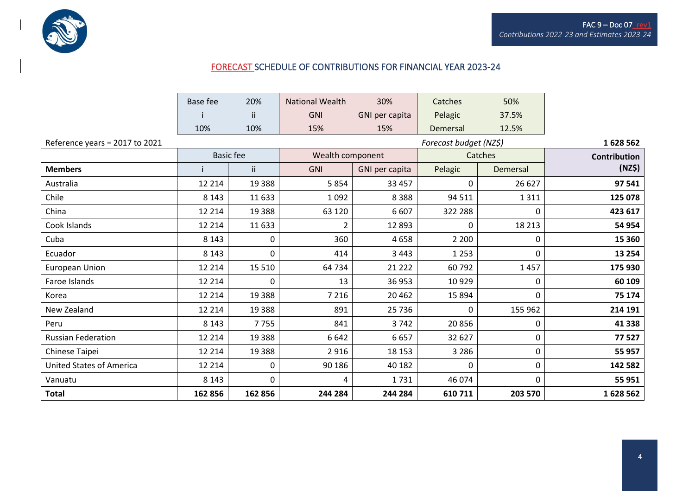

### FORECAST SCHEDULE OF CONTRIBUTIONS FOR FINANCIAL YEAR 2023-24

|                                 | <b>Base fee</b>  | 20%                    | <b>National Wealth</b> | 30%            | Catches     | 50%      |                     |
|---------------------------------|------------------|------------------------|------------------------|----------------|-------------|----------|---------------------|
|                                 |                  | ii.                    | <b>GNI</b>             | GNI per capita | Pelagic     | 37.5%    |                     |
|                                 | 10%              | 10%                    | 15%                    | 15%            | Demersal    | 12.5%    |                     |
| Reference years = 2017 to 2021  |                  | Forecast budget (NZ\$) |                        |                |             |          | 1628562             |
|                                 | <b>Basic fee</b> |                        | Wealth component       |                |             | Catches  | <b>Contribution</b> |
| <b>Members</b>                  | ii.              |                        | <b>GNI</b>             | GNI per capita | Pelagic     | Demersal | (NZ\$)              |
| Australia                       | 12 2 14          | 19 3 8 8               | 5854                   | 33 457         | $\mathbf 0$ | 26 6 27  | 97 541              |
| Chile                           | 8 1 4 3          | 11 633                 | 1 0 9 2                | 8 3 8 8        | 94 511      | 1311     | 125 078             |
| China                           | 12 2 14          | 19 3 88                | 63 1 20                | 6 607          | 322 288     | 0        | 423 617             |
| Cook Islands                    | 12 2 14          | 11 633                 | 2                      | 12 8 93        | 0           | 18 2 13  | 54 954              |
| Cuba                            | 8 1 4 3          | 0                      | 360                    | 4658           | 2 2 0 0     | 0        | 15 360              |
| Ecuador                         | 8 1 4 3          | 0                      | 414                    | 3 4 4 3        | 1 2 5 3     | 0        | 13 2 54             |
| <b>European Union</b>           | 12 2 14          | 15 5 10                | 64 734                 | 21 2 22        | 60792       | 1457     | 175 930             |
| Faroe Islands                   | 12 2 14          | 0                      | 13                     | 36 953         | 10929       | 0        | 60 109              |
| Korea                           | 12 2 14          | 19 3 88                | 7 2 1 6                | 20 4 62        | 15 8 94     | 0        | 75 174              |
| New Zealand                     | 12 2 14          | 19 3 88                | 891                    | 25 7 36        | 0           | 155 962  | 214 191             |
| Peru                            | 8 1 4 3          | 7755                   | 841                    | 3742           | 20856       | 0        | 41 3 38             |
| <b>Russian Federation</b>       | 12 2 14          | 19 3 88                | 6 6 4 2                | 6657           | 32 627      | 0        | 77527               |
| Chinese Taipei                  | 12 2 14          | 19 3 88                | 2 9 1 6                | 18 153         | 3 2 8 6     | 0        | 55 957              |
| <b>United States of America</b> | 12 2 14          | $\mathbf 0$            | 90 186                 | 40 182         | $\mathbf 0$ | 0        | 142 582             |
| Vanuatu                         | 8 1 4 3          | 0                      | 4                      | 1731           | 46 074      | 0        | 55 951              |
| <b>Total</b>                    | 162 856          | 162 856                | 244 284                | 244 284        | 610 711     | 203 570  | 1628562             |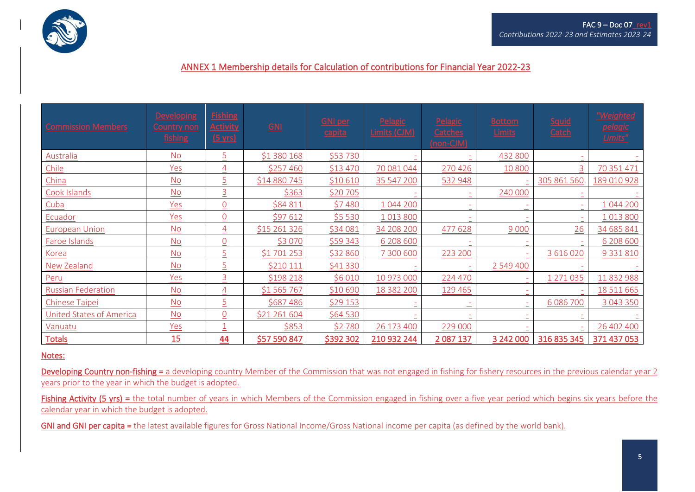

#### ANNEX 1 Membership details for Calculation of contributions for Financial Year 2022-23

| <b>Commission Members</b> | <b>Developing</b><br><b>Country non</b><br>fishing | <b>Fishing</b><br><b>Activity</b><br>$(5 \text{ yrs})$ | $\underline{GM}$ | <b>GNI per</b><br>capita | Pelagic<br>Limits (CJM) | Pelagic<br>Catches<br>(non-CJM) | <b>Bottom</b><br>Limits | Squid<br>Catch | "Weighted<br><b>pelagic</b><br>Limits" |
|---------------------------|----------------------------------------------------|--------------------------------------------------------|------------------|--------------------------|-------------------------|---------------------------------|-------------------------|----------------|----------------------------------------|
| Australia                 | <b>No</b>                                          | $\overline{5}$                                         | \$1 380 168      | \$53 730                 |                         |                                 | 432 800                 |                |                                        |
| Chile                     | Yes                                                | $\overline{4}$                                         | \$257460         | \$13 470                 | 70 081 044              | 270 426                         | 10 800                  | 3              | 70 351 471                             |
| China                     | $\underline{\mathsf{No}}$                          | $\overline{5}$                                         | \$14 880 745     | \$10 610                 | 35 547 200              | 532 948                         |                         | 305 861 560    | 189 010 928                            |
| Cook Islands              | <b>No</b>                                          | $\overline{3}$                                         | \$363            | \$20705                  |                         |                                 | 240 000                 |                |                                        |
| Cuba                      | Yes                                                | $\theta$                                               | \$84 811         | \$7480                   | 1 044 200               |                                 |                         |                | 1 044 200                              |
| Ecuador                   | Yes                                                | $\overline{0}$                                         | \$97 612         | \$5 530                  | 1013800                 |                                 |                         |                | 1 0 1 3 8 0 0                          |
| <b>European Union</b>     | $\underline{\mathsf{No}}$                          | $\overline{4}$                                         | \$15 261 326     | \$34 081                 | 34 208 200              | 477 628                         | 9 0 0 0                 | 26             | 34 685 841                             |
| Faroe Islands             | No                                                 | $\overline{0}$                                         | \$3 0 70         | \$59 343                 | 6 208 600               |                                 |                         |                | 6 208 600                              |
| Korea                     | <b>No</b>                                          | 5                                                      | \$1701253        | \$32 860                 | 7 300 600               | 223 200                         |                         | 3 616 020      | 9 3 3 1 8 1 0                          |
| New Zealand               | <b>No</b>                                          | $\overline{5}$                                         | \$210 111        | \$41 330                 |                         |                                 | 2 549 400               |                |                                        |
| Peru                      | Yes                                                | $\overline{3}$                                         | \$198 218        | \$6 0 10                 | 10 973 000              | 224 470                         | $\sim$                  | 1 271 035      | 11 832 988                             |
| <b>Russian Federation</b> | $\underline{\mathsf{No}}$                          | $\overline{4}$                                         | \$1 565 767      | \$10 690                 | 18 382 200              | 129 465                         |                         |                | 18 5 11 6 6 5                          |
| <b>Chinese Taipei</b>     | $\underline{\mathsf{No}}$                          | 5                                                      | \$687486         | \$29 153                 |                         |                                 |                         | 6 086 700      | 3 043 350                              |
| United States of America  | <b>No</b>                                          | Q                                                      | \$21 261 604     | \$64 530                 |                         |                                 |                         |                |                                        |
| Vanuatu                   | Yes                                                |                                                        | \$853            | \$2780                   | 26 173 400              | 229 000                         |                         |                | 26 402 400                             |
| <b>Totals</b>             | 15                                                 | 44                                                     | \$57 590 847     | \$392 302                | 210 932 244             | 2 087 137                       | 3 242 000               | 316 835 345    | 371 437 053                            |

#### Notes:

Developing Country non-fishing = a developing country Member of the Commission that was not engaged in fishing for fishery resources in the previous calendar year 2 years prior to the year in which the budget is adopted.

Fishing Activity (5 yrs) = the total number of years in which Members of the Commission engaged in fishing over a five year period which begins six years before the calendar year in which the budget is adopted.

GNI and GNI per capita = the latest available figures for Gross National Income/Gross National income per capita (as defined by the world bank).